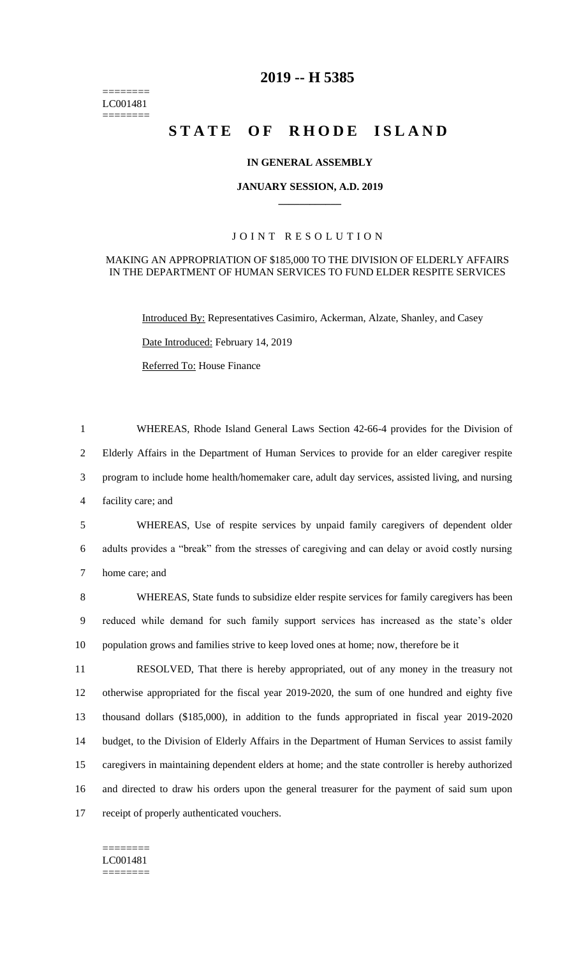======== LC001481 ========

# **2019 -- H 5385**

# **STATE OF RHODE ISLAND**

### **IN GENERAL ASSEMBLY**

#### **JANUARY SESSION, A.D. 2019 \_\_\_\_\_\_\_\_\_\_\_\_**

### JOINT RESOLUTION

### MAKING AN APPROPRIATION OF \$185,000 TO THE DIVISION OF ELDERLY AFFAIRS IN THE DEPARTMENT OF HUMAN SERVICES TO FUND ELDER RESPITE SERVICES

Introduced By: Representatives Casimiro, Ackerman, Alzate, Shanley, and Casey

Date Introduced: February 14, 2019

Referred To: House Finance

 WHEREAS, Rhode Island General Laws Section 42-66-4 provides for the Division of Elderly Affairs in the Department of Human Services to provide for an elder caregiver respite program to include home health/homemaker care, adult day services, assisted living, and nursing facility care; and

5 WHEREAS, Use of respite services by unpaid family caregivers of dependent older 6 adults provides a "break" from the stresses of caregiving and can delay or avoid costly nursing 7 home care; and

8 WHEREAS, State funds to subsidize elder respite services for family caregivers has been 9 reduced while demand for such family support services has increased as the state's older 10 population grows and families strive to keep loved ones at home; now, therefore be it

 RESOLVED, That there is hereby appropriated, out of any money in the treasury not otherwise appropriated for the fiscal year 2019-2020, the sum of one hundred and eighty five thousand dollars (\$185,000), in addition to the funds appropriated in fiscal year 2019-2020 budget, to the Division of Elderly Affairs in the Department of Human Services to assist family caregivers in maintaining dependent elders at home; and the state controller is hereby authorized and directed to draw his orders upon the general treasurer for the payment of said sum upon receipt of properly authenticated vouchers.

======== LC001481 ========